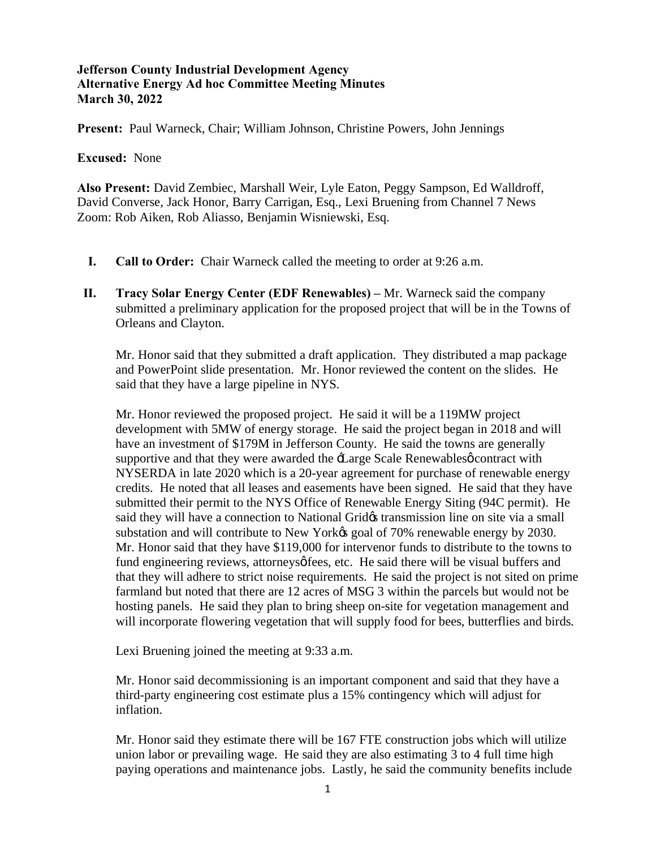**Present:** Paul Warneck, Chair; William Johnson, Christine Powers, John Jennings

#### **Excused:** None

**Also Present:** David Zembiec, Marshall Weir, Lyle Eaton, Peggy Sampson, Ed Walldroff, David Converse, Jack Honor, Barry Carrigan, Esq., Lexi Bruening from Channel 7 News Zoom: Rob Aiken, Rob Aliasso, Benjamin Wisniewski, Esq.

- **I. Call to Order:** Chair Warneck called the meeting to order at 9:26 a.m.
- **II. Tracy Solar Energy Center (EDF Renewables) –** Mr. Warneck said the company submitted a preliminary application for the proposed project that will be in the Towns of Orleans and Clayton.

Mr. Honor said that they submitted a draft application. They distributed a map package and PowerPoint slide presentation. Mr. Honor reviewed the content on the slides. He said that they have a large pipeline in NYS.

Mr. Honor reviewed the proposed project. He said it will be a 119MW project development with 5MW of energy storage. He said the project began in 2018 and will have an investment of \$179M in Jefferson County. He said the towns are generally supportive and that they were awarded the  $\pm$ arge Scale Renewables  $\phi$  contract with NYSERDA in late 2020 which is a 20-year agreement for purchase of renewable energy credits. He noted that all leases and easements have been signed. He said that they have submitted their permit to the NYS Office of Renewable Energy Siting (94C permit). He said they will have a connection to National Grid transmission line on site via a small substation and will contribute to New York $\alpha$  goal of 70% renewable energy by 2030. Mr. Honor said that they have \$119,000 for intervenor funds to distribute to the towns to fund engineering reviews, attorneys of fees, etc. He said there will be visual buffers and that they will adhere to strict noise requirements. He said the project is not sited on prime farmland but noted that there are 12 acres of MSG 3 within the parcels but would not be hosting panels. He said they plan to bring sheep on-site for vegetation management and will incorporate flowering vegetation that will supply food for bees, butterflies and birds.

Lexi Bruening joined the meeting at 9:33 a.m.

Mr. Honor said decommissioning is an important component and said that they have a third-party engineering cost estimate plus a 15% contingency which will adjust for inflation.

Mr. Honor said they estimate there will be 167 FTE construction jobs which will utilize union labor or prevailing wage. He said they are also estimating 3 to 4 full time high paying operations and maintenance jobs. Lastly, he said the community benefits include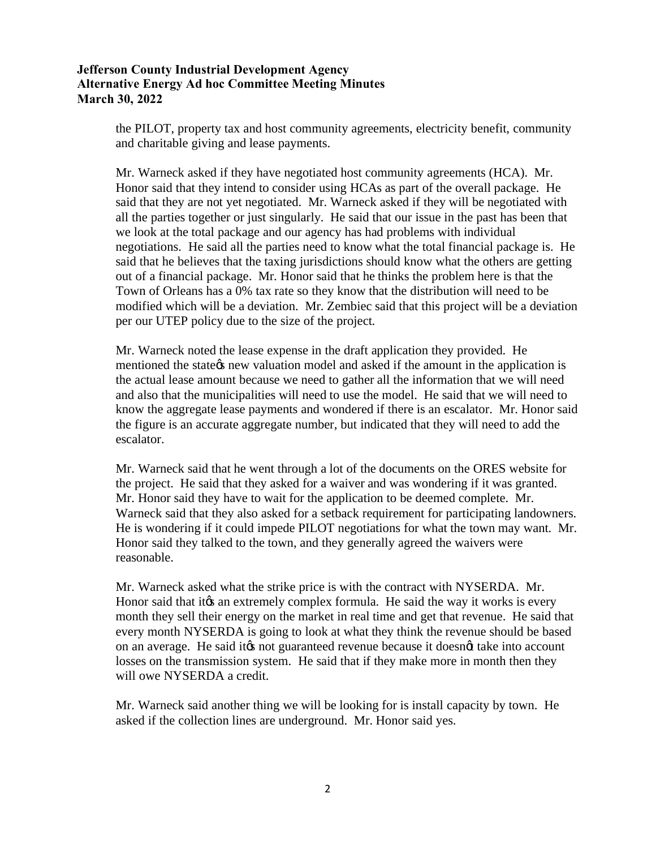the PILOT, property tax and host community agreements, electricity benefit, community and charitable giving and lease payments.

Mr. Warneck asked if they have negotiated host community agreements (HCA). Mr. Honor said that they intend to consider using HCAs as part of the overall package. He said that they are not yet negotiated. Mr. Warneck asked if they will be negotiated with all the parties together or just singularly. He said that our issue in the past has been that we look at the total package and our agency has had problems with individual negotiations. He said all the parties need to know what the total financial package is. He said that he believes that the taxing jurisdictions should know what the others are getting out of a financial package. Mr. Honor said that he thinks the problem here is that the Town of Orleans has a 0% tax rate so they know that the distribution will need to be modified which will be a deviation. Mr. Zembiec said that this project will be a deviation per our UTEP policy due to the size of the project.

Mr. Warneck noted the lease expense in the draft application they provided. He mentioned the state the w valuation model and asked if the amount in the application is the actual lease amount because we need to gather all the information that we will need and also that the municipalities will need to use the model. He said that we will need to know the aggregate lease payments and wondered if there is an escalator. Mr. Honor said the figure is an accurate aggregate number, but indicated that they will need to add the escalator.

Mr. Warneck said that he went through a lot of the documents on the ORES website for the project. He said that they asked for a waiver and was wondering if it was granted. Mr. Honor said they have to wait for the application to be deemed complete. Mr. Warneck said that they also asked for a setback requirement for participating landowners. He is wondering if it could impede PILOT negotiations for what the town may want. Mr. Honor said they talked to the town, and they generally agreed the waivers were reasonable.

Mr. Warneck asked what the strike price is with the contract with NYSERDA. Mr. Honor said that it to an extremely complex formula. He said the way it works is every month they sell their energy on the market in real time and get that revenue. He said that every month NYSERDA is going to look at what they think the revenue should be based on an average. He said it ts not guaranteed revenue because it doesnot take into account losses on the transmission system. He said that if they make more in month then they will owe NYSERDA a credit.

Mr. Warneck said another thing we will be looking for is install capacity by town. He asked if the collection lines are underground. Mr. Honor said yes.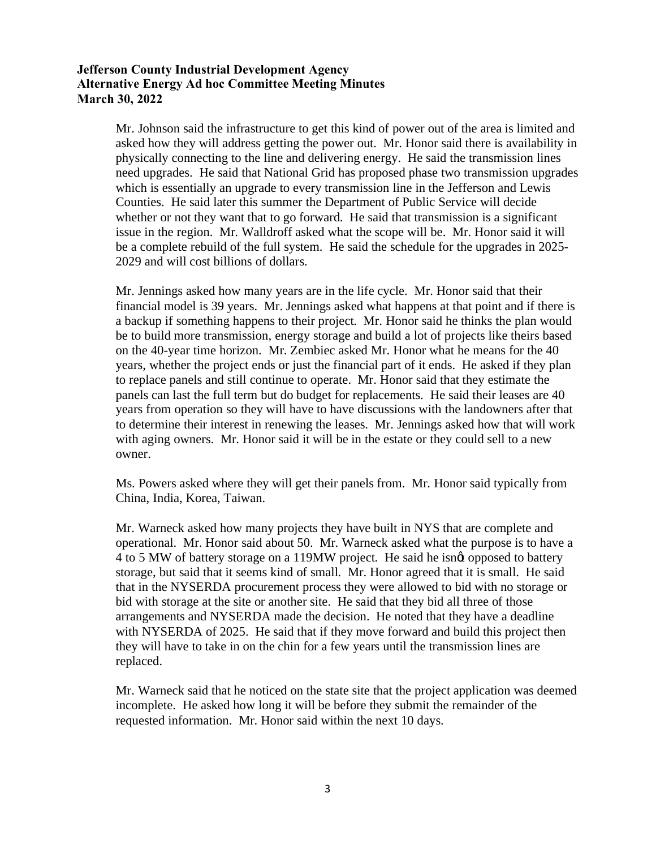Mr. Johnson said the infrastructure to get this kind of power out of the area is limited and asked how they will address getting the power out. Mr. Honor said there is availability in physically connecting to the line and delivering energy. He said the transmission lines need upgrades. He said that National Grid has proposed phase two transmission upgrades which is essentially an upgrade to every transmission line in the Jefferson and Lewis Counties. He said later this summer the Department of Public Service will decide whether or not they want that to go forward. He said that transmission is a significant issue in the region. Mr. Walldroff asked what the scope will be. Mr. Honor said it will be a complete rebuild of the full system. He said the schedule for the upgrades in 2025- 2029 and will cost billions of dollars.

Mr. Jennings asked how many years are in the life cycle. Mr. Honor said that their financial model is 39 years. Mr. Jennings asked what happens at that point and if there is a backup if something happens to their project. Mr. Honor said he thinks the plan would be to build more transmission, energy storage and build a lot of projects like theirs based on the 40-year time horizon. Mr. Zembiec asked Mr. Honor what he means for the 40 years, whether the project ends or just the financial part of it ends. He asked if they plan to replace panels and still continue to operate. Mr. Honor said that they estimate the panels can last the full term but do budget for replacements. He said their leases are 40 years from operation so they will have to have discussions with the landowners after that to determine their interest in renewing the leases. Mr. Jennings asked how that will work with aging owners. Mr. Honor said it will be in the estate or they could sell to a new owner.

Ms. Powers asked where they will get their panels from. Mr. Honor said typically from China, India, Korea, Taiwan.

Mr. Warneck asked how many projects they have built in NYS that are complete and operational. Mr. Honor said about 50. Mr. Warneck asked what the purpose is to have a 4 to 5 MW of battery storage on a 119MW project. He said he isngt opposed to battery storage, but said that it seems kind of small. Mr. Honor agreed that it is small. He said that in the NYSERDA procurement process they were allowed to bid with no storage or bid with storage at the site or another site. He said that they bid all three of those arrangements and NYSERDA made the decision. He noted that they have a deadline with NYSERDA of 2025. He said that if they move forward and build this project then they will have to take in on the chin for a few years until the transmission lines are replaced.

Mr. Warneck said that he noticed on the state site that the project application was deemed incomplete. He asked how long it will be before they submit the remainder of the requested information. Mr. Honor said within the next 10 days.